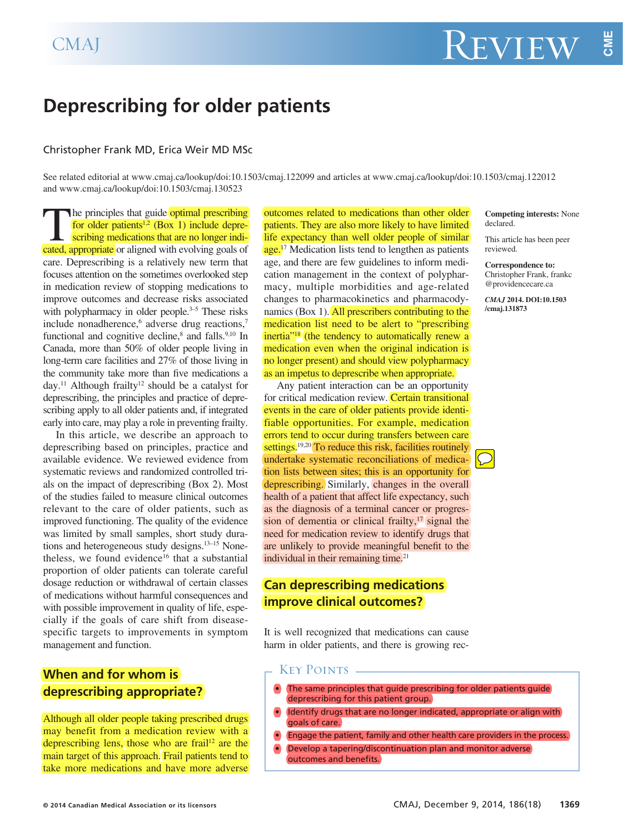$\bar{\bar{\mathbf{z}}}$ 

# **Deprescribing for older patients**

### Christopher Frank MD, Erica Weir MD MSc

See related editorial at www.cmaj.ca/lookup/doi:10.1503/cmaj.122099 and articles at www.cmaj.ca/lookup/doi:10.1503/cmaj.122012 and www.cmaj.ca/lookup/doi:10.1503/cmaj.130523

The principles that guide optimal prescribing for older patients<sup>1,2</sup> (Box 1) include deprescribing medications that are no longer indicated, appropriate or aligned with evolving goals of care. Deprescribing is a relatively new term that focuses attention on the sometimes overlooked step in medication review of stopping medications to improve outcomes and decrease risks associated with polypharmacy in older people.<sup>3-5</sup> These risks include nonadherence,<sup>6</sup> adverse drug reactions,<sup>7</sup> functional and cognitive decline, $\delta$  and falls.<sup>9,10</sup> In Canada, more than 50% of older people living in long-term care facilities and 27% of those living in the community take more than five medications a  $day$ <sup>11</sup> Although frailty<sup>12</sup> should be a catalyst for deprescribing, the principles and practice of deprescribing apply to all older patients and, if integrated early into care, may play a role in preventing frailty.

In this article, we describe an approach to deprescribing based on principles, practice and available evidence. We reviewed evidence from systematic reviews and randomized controlled trials on the impact of deprescribing (Box 2). Most of the studies failed to measure clinical outcomes relevant to the care of older patients, such as improved functioning. The quality of the evidence was limited by small samples, short study durations and heterogeneous study designs.13–15 Nonetheless, we found evidence<sup>16</sup> that a substantial proportion of older patients can tolerate careful dosage reduction or withdrawal of certain classes of medications without harmful consequences and with possible improvement in quality of life, especially if the goals of care shift from diseasespecific targets to improvements in symptom management and function.

# **When and for whom is deprescribing appropriate?**

Although all older people taking prescribed drugs may benefit from a medication review with a deprescribing lens, those who are frail<sup>12</sup> are the main target of this approach. Frail patients tend to take more medications and have more adverse

outcomes related to medications than other older patients. They are also more likely to have limited life expectancy than well older people of similar  $\frac{\text{age}}{\text{age}}$ .<sup>17</sup> Medication lists tend to lengthen as patients age, and there are few guidelines to inform medication management in the context of polypharmacy, multiple morbidities and age-related changes to pharmacokinetics and pharmacodynamics (Box 1). All prescribers contributing to the medication list need to be alert to "prescribing inertia"<sup>18</sup> (the tendency to automatically renew a medication even when the original indication is no longer present) and should view polypharmacy as an impetus to deprescribe when appropriate.

Any patient interaction can be an opportunity for critical medication review. Certain transitional events in the care of older patients provide identifiable opportunities. For example, medication errors tend to occur during transfers between care settings.<sup>19,20</sup> To reduce this risk, facilities routinely undertake systematic reconciliations of medication lists between sites; this is an opportunity for deprescribing. Similarly, changes in the overall health of a patient that affect life expectancy, such as the diagnosis of a terminal cancer or progression of dementia or clinical frailty, $17$  signal the need for medication review to identify drugs that are unlikely to provide meaningful benefit to the individual in their remaining time.<sup>21</sup>

# **Can deprescribing medications improve clinical outcomes?**

It is well recognized that medications can cause harm in older patients, and there is growing rec-

### Key Points

- The same principles that guide prescribing for older patients guide deprescribing for this patient group.
- Identify drugs that are no longer indicated, appropriate or align with goals of care.
- Engage the patient, family and other health care providers in the process.
- Develop a tapering/discontinuation plan and monitor adverse outcomes and benefits.

#### **Competing interests:** None declared.

This article has been peer reviewed.

**Correspondence to:** Christopher Frank, frankc @providencecare.ca

*CMAJ* **2014. DOI:10.1503 /cmaj.131873**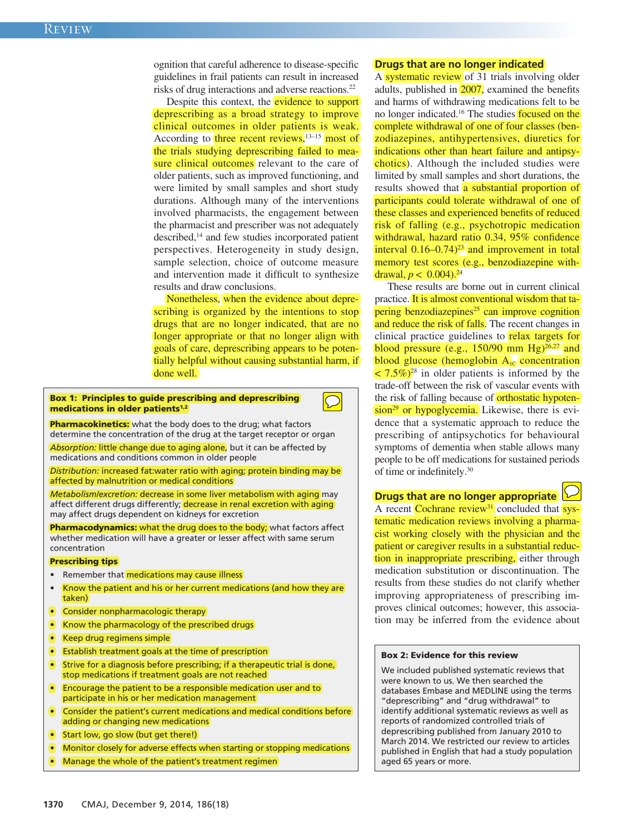ognition that careful adherence to disease-specific guidelines in frail patients can result in increased risks of drug interactions and adverse reactions.22

Despite this context, the evidence to support deprescribing as a broad strategy to improve clinical outcomes in older patients is weak. According to three recent reviews, $13-15$  most of the trials studying deprescribing failed to measure clinical outcomes relevant to the care of older patients, such as improved functioning, and were limited by small samples and short study durations. Although many of the interventions involved pharmacists, the engagement between the pharmacist and prescriber was not adequately described,<sup>14</sup> and few studies incorporated patient perspectives. Heterogeneity in study design, sample selection, choice of outcome measure and intervention made it difficult to synthesize results and draw conclusions.

Nonetheless, when the evidence about deprescribing is organized by the intentions to stop drugs that are no longer indicated, that are no longer appropriate or that no longer align with goals of care, deprescribing appears to be potentially helpful without causing substantial harm, if done well.

#### Box 1: Principles to guide prescribing and deprescribing medications in older patients<sup>1,2</sup>

Pharmacokinetics: what the body does to the drug; what factors determine the concentration of the drug at the target receptor or organ

*Absorption:* little change due to aging alone, but it can be affected by medications and conditions common in older people

*Distribution:* increased fat:water ratio with aging; protein binding may be affected by malnutrition or medical conditions

*Metabolism/excretion:* decrease in some liver metabolism with aging may affect different drugs differently; decrease in renal excretion with aging may affect drugs dependent on kidneys for excretion

**Pharmacodynamics:** what the drug does to the body; what factors affect whether medication will have a greater or lesser affect with same serum concentration

#### Prescribing tips

- Remember that medications may cause illness
- Know the patient and his or her current medications (and how they are taken)
- Consider nonpharmacologic therapy
- Know the pharmacology of the prescribed drugs
- Keep drug regimens simple
- Establish treatment goals at the time of prescription
- Strive for a diagnosis before prescribing; if a therapeutic trial is done, stop medications if treatment goals are not reached
- Encourage the patient to be a responsible medication user and to participate in his or her medication management
- Consider the patient's current medications and medical conditions before adding or changing new medications
- **Start low, go slow (but get there!)**
- Monitor closely for adverse effects when starting or stopping medications
- Manage the whole of the patient's treatment regimen

### **Drugs that are no longer indicated**

A systematic review of 31 trials involving older adults, published in 2007, examined the benefits and harms of withdrawing medications felt to be no longer indicated.16 The studies focused on the complete withdrawal of one of four classes (benzodiazepines, antihypertensives, diuretics for indications other than heart failure and antipsychotics). Although the included studies were limited by small samples and short durations, the results showed that a substantial proportion of participants could tolerate withdrawal of one of these classes and experienced benefits of reduced risk of falling (e.g., psychotropic medication withdrawal, hazard ratio 0.34, 95% confidence interval  $0.16-0.74$ <sup>23</sup> and improvement in total memory test scores (e.g., benzodiazepine withdrawal,  $p < 0.004$ .<sup>24</sup>

These results are borne out in current clinical practice. It is almost conventional wisdom that tapering benzodiazepines<sup>25</sup> can improve cognition and reduce the risk of falls. The recent changes in clinical practice guidelines to relax targets for blood pressure (e.g.,  $150/90$  mm Hg)<sup>26,27</sup> and blood glucose (hemoglobin  $A_{1c}$  concentration)  $\leq$  7.5%)<sup>28</sup> in older patients is informed by the trade-off between the risk of vascular events with the risk of falling because of orthostatic hypoten- $\sin^{29}$  or hypoglycemia. Likewise, there is evidence that a systematic approach to reduce the prescribing of antipsychotics for behavioural symptoms of dementia when stable allows many people to be off medications for sustained periods of time or indefinitely.30

**Drugs that are no longer appropriate**

A recent Cochrane review<sup>31</sup> concluded that systematic medication reviews involving a pharmacist working closely with the physician and the patient or caregiver results in a substantial reduction in inappropriate prescribing, either through medication substitution or discontinuation. The results from these studies do not clarify whether improving appropriateness of prescribing improves clinical outcomes; however, this association may be inferred from the evidence about

#### Box 2: Evidence for this review

We included published systematic reviews that were known to us. We then searched the databases Embase and MEDLINE using the terms "deprescribing" and "drug withdrawal" to identify additional systematic reviews as well as reports of randomized controlled trials of deprescribing published from January 2010 to March 2014. We restricted our review to articles published in English that had a study population aged 65 years or more.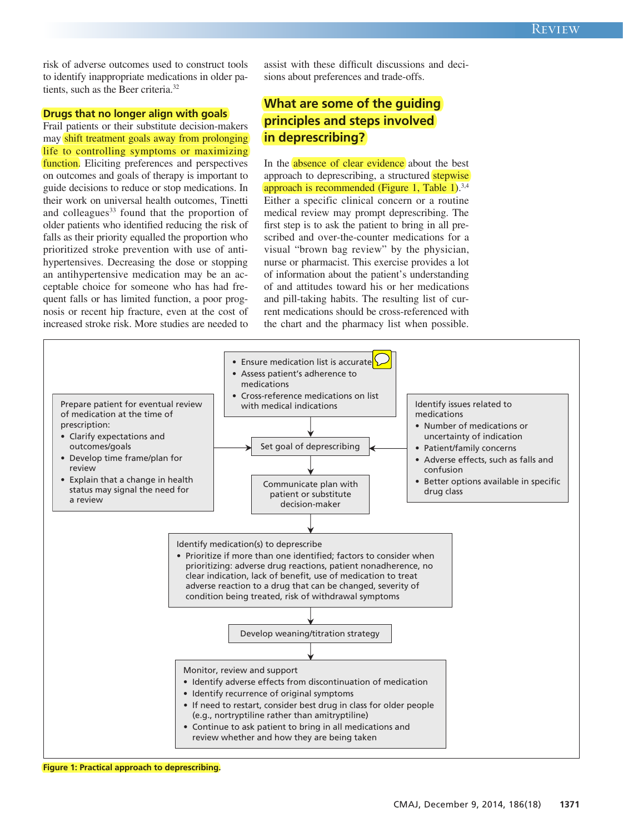risk of adverse outcomes used to construct tools to identify inappropriate medications in older patients, such as the Beer criteria.32

#### **Drugs that no longer align with goals**

Frail patients or their substitute decision-makers may shift treatment goals away from prolonging life to controlling symptoms or maximizing function. Eliciting preferences and perspectives on outcomes and goals of therapy is important to guide decisions to reduce or stop medications. In their work on universal health outcomes, Tinetti and colleagues<sup>33</sup> found that the proportion of older patients who identified reducing the risk of falls as their priority equalled the proportion who prioritized stroke prevention with use of antihypertensives. Decreasing the dose or stopping an antihypertensive medication may be an acceptable choice for someone who has had frequent falls or has limited function, a poor prognosis or recent hip fracture, even at the cost of increased stroke risk. More studies are needed to

assist with these difficult discussions and decisions about preferences and trade-offs.

# **What are some of the guiding principles and steps involved in deprescribing?**

In the absence of clear evidence about the best approach to deprescribing, a structured stepwise approach is recommended (Figure 1, Table 1).3,4 Either a specific clinical concern or a routine medical review may prompt deprescribing. The first step is to ask the patient to bring in all prescribed and over-the-counter medications for a visual "brown bag review" by the physician, nurse or pharmacist. This exercise provides a lot of information about the patient's understanding of and attitudes toward his or her medications and pill-taking habits. The resulting list of current medications should be cross-referenced with the chart and the pharmacy list when possible.

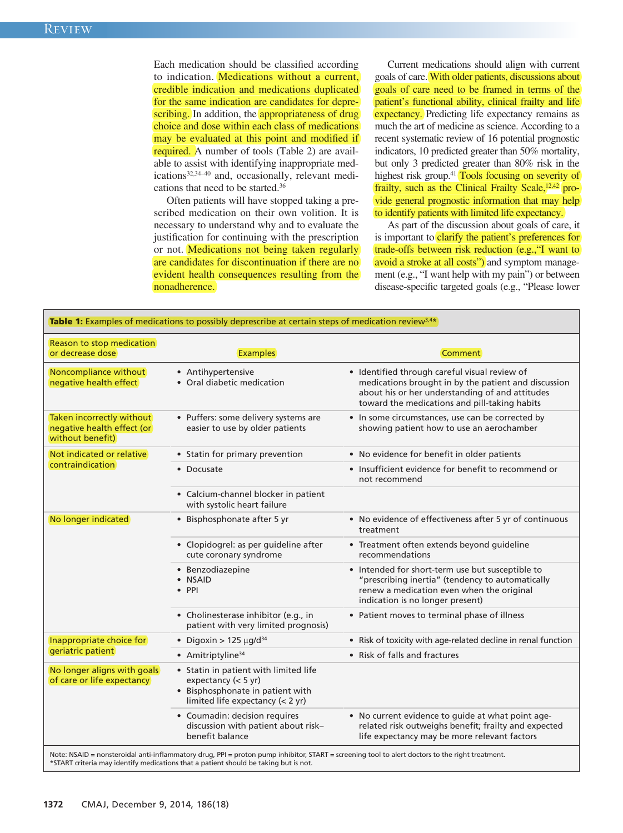Each medication should be classified according to indication. Medications without a current, credible indication and medications duplicated for the same indication are candidates for deprescribing. In addition, the appropriateness of drug choice and dose within each class of medications may be evaluated at this point and modified if required. A number of tools (Table 2) are available to assist with identifying inappropriate medications32,34–40 and, occasionally, relevant medications that need to be started.36

Often patients will have stopped taking a prescribed medication on their own volition. It is necessary to understand why and to evaluate the justification for continuing with the prescription or not. Medications not being taken regularly are candidates for discontinuation if there are no evident health consequences resulting from the nonadherence.

Current medications should align with current goals of care. With older patients, discussions about goals of care need to be framed in terms of the patient's functional ability, clinical frailty and life expectancy. Predicting life expectancy remains as much the art of medicine as science. According to a recent systematic review of 16 potential prognostic indicators, 10 predicted greater than 50% mortality, but only 3 predicted greater than 80% risk in the highest risk group.<sup>41</sup> Tools focusing on severity of frailty, such as the Clinical Frailty Scale, $12,42$  provide general prognostic information that may help to identify patients with limited life expectancy.

As part of the discussion about goals of care, it is important to clarify the patient's preferences for trade-offs between risk reduction (e.g.,"I want to avoid a stroke at all costs") and symptom management (e.g., "I want help with my pain") or between disease-specific targeted goals (e.g., "Please lower

| Table 1: Examples of medications to possibly deprescribe at certain steps of medication review <sup>3,4*</sup> |                                                                                                                                        |                                                                                                                                                                                                           |  |  |
|----------------------------------------------------------------------------------------------------------------|----------------------------------------------------------------------------------------------------------------------------------------|-----------------------------------------------------------------------------------------------------------------------------------------------------------------------------------------------------------|--|--|
| Reason to stop medication<br>or decrease dose                                                                  | <b>Examples</b>                                                                                                                        | Comment                                                                                                                                                                                                   |  |  |
| Noncompliance without<br>negative health effect                                                                | • Antihypertensive<br>• Oral diabetic medication                                                                                       | • Identified through careful visual review of<br>medications brought in by the patient and discussion<br>about his or her understanding of and attitudes<br>toward the medications and pill-taking habits |  |  |
| Taken incorrectly without<br>negative health effect (or<br>without benefit)                                    | • Puffers: some delivery systems are<br>easier to use by older patients                                                                | • In some circumstances, use can be corrected by<br>showing patient how to use an aerochamber                                                                                                             |  |  |
| Not indicated or relative<br>contraindication                                                                  | • Statin for primary prevention                                                                                                        | • No evidence for benefit in older patients                                                                                                                                                               |  |  |
|                                                                                                                | • Docusate                                                                                                                             | • Insufficient evidence for benefit to recommend or<br>not recommend                                                                                                                                      |  |  |
|                                                                                                                | • Calcium-channel blocker in patient<br>with systolic heart failure                                                                    |                                                                                                                                                                                                           |  |  |
| No longer indicated                                                                                            | • Bisphosphonate after 5 yr                                                                                                            | • No evidence of effectiveness after 5 yr of continuous<br>treatment                                                                                                                                      |  |  |
|                                                                                                                | • Clopidogrel: as per guideline after<br>cute coronary syndrome                                                                        | • Treatment often extends beyond quideline<br>recommendations                                                                                                                                             |  |  |
|                                                                                                                | · Benzodiazepine<br>• NSAID<br>$\bullet$ PPI                                                                                           | • Intended for short-term use but susceptible to<br>"prescribing inertia" (tendency to automatically<br>renew a medication even when the original<br>indication is no longer present)                     |  |  |
|                                                                                                                | • Cholinesterase inhibitor (e.g., in<br>patient with very limited prognosis)                                                           | • Patient moves to terminal phase of illness                                                                                                                                                              |  |  |
| Inappropriate choice for<br>geriatric patient                                                                  | • Digoxin > 125 $\mu$ g/d <sup>34</sup>                                                                                                | • Risk of toxicity with age-related decline in renal function                                                                                                                                             |  |  |
|                                                                                                                | • Amitriptyline <sup>34</sup>                                                                                                          | • Risk of falls and fractures                                                                                                                                                                             |  |  |
| No longer aligns with goals<br>of care or life expectancy                                                      | • Statin in patient with limited life<br>expectancy $(< 5 yr)$<br>• Bisphosphonate in patient with<br>limited life expectancy (< 2 yr) |                                                                                                                                                                                                           |  |  |
|                                                                                                                | • Coumadin: decision requires<br>discussion with patient about risk-<br>benefit balance                                                | • No current evidence to guide at what point age-<br>related risk outweighs benefit; frailty and expected<br>life expectancy may be more relevant factors                                                 |  |  |

Note: NSAID = nonsteroidal anti-inflammatory drug, PPI = proton pump inhibitor, START = screening tool to alert doctors to the right treatment. \*START criteria may identify medications that a patient should be taking but is not.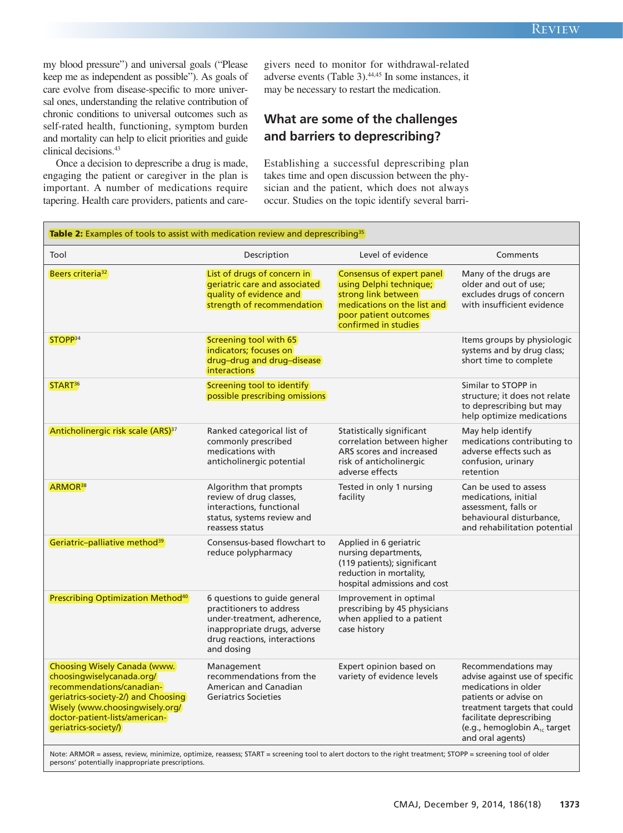my blood pressure") and universal goals ("Please keep me as independent as possible"). As goals of care evolve from disease-specific to more universal ones, understanding the relative contribution of chronic conditions to universal outcomes such as self-rated health, functioning, symptom burden and mortality can help to elicit priorities and guide clinical decisions.43

Once a decision to deprescribe a drug is made, engaging the patient or caregiver in the plan is important. A number of medications require tapering. Health care providers, patients and caregivers need to monitor for withdrawal-related adverse events (Table 3). $44,45$  In some instances, it may be necessary to restart the medication.

# **What are some of the challenges and barriers to deprescribing?**

Establishing a successful deprescribing plan takes time and open discussion between the physician and the patient, which does not always occur. Studies on the topic identify several barri-

| Table 2: Examples of tools to assist with medication review and deprescribing <sup>35</sup>                                                                                                                                  |                                                                                                                                                                       |                                                                                                                                                             |                                                                                                                                                                                                                                    |  |
|------------------------------------------------------------------------------------------------------------------------------------------------------------------------------------------------------------------------------|-----------------------------------------------------------------------------------------------------------------------------------------------------------------------|-------------------------------------------------------------------------------------------------------------------------------------------------------------|------------------------------------------------------------------------------------------------------------------------------------------------------------------------------------------------------------------------------------|--|
| Tool                                                                                                                                                                                                                         | Description                                                                                                                                                           | Level of evidence                                                                                                                                           | Comments                                                                                                                                                                                                                           |  |
| Beers criteria <sup>32</sup>                                                                                                                                                                                                 | List of drugs of concern in<br>geriatric care and associated<br>quality of evidence and<br>strength of recommendation                                                 | Consensus of expert panel<br>using Delphi technique;<br>strong link between<br>medications on the list and<br>poor patient outcomes<br>confirmed in studies | Many of the drugs are<br>older and out of use;<br>excludes drugs of concern<br>with insufficient evidence                                                                                                                          |  |
| STOPP <sup>34</sup>                                                                                                                                                                                                          | Screening tool with 65<br>indicators; focuses on<br>drug-drug and drug-disease<br><b>interactions</b>                                                                 |                                                                                                                                                             | Items groups by physiologic<br>systems and by drug class;<br>short time to complete                                                                                                                                                |  |
| START <sup>36</sup>                                                                                                                                                                                                          | Screening tool to identify<br>possible prescribing omissions                                                                                                          |                                                                                                                                                             | Similar to STOPP in<br>structure: it does not relate<br>to deprescribing but may<br>help optimize medications                                                                                                                      |  |
| Anticholinergic risk scale (ARS) <sup>37</sup>                                                                                                                                                                               | Ranked categorical list of<br>commonly prescribed<br>medications with<br>anticholinergic potential                                                                    | Statistically significant<br>correlation between higher<br>ARS scores and increased<br>risk of anticholinergic<br>adverse effects                           | May help identify<br>medications contributing to<br>adverse effects such as<br>confusion, urinary<br>retention                                                                                                                     |  |
| ARMOR <sup>38</sup>                                                                                                                                                                                                          | Algorithm that prompts<br>review of drug classes,<br>interactions, functional<br>status, systems review and<br>reassess status                                        | Tested in only 1 nursing<br>facility                                                                                                                        | Can be used to assess<br>medications, initial<br>assessment, falls or<br>behavioural disturbance,<br>and rehabilitation potential                                                                                                  |  |
| Geriatric-palliative method <sup>39</sup>                                                                                                                                                                                    | Consensus-based flowchart to<br>reduce polypharmacy                                                                                                                   | Applied in 6 geriatric<br>nursing departments,<br>(119 patients); significant<br>reduction in mortality,<br>hospital admissions and cost                    |                                                                                                                                                                                                                                    |  |
| <b>Prescribing Optimization Method40</b>                                                                                                                                                                                     | 6 questions to guide general<br>practitioners to address<br>under-treatment, adherence,<br>inappropriate drugs, adverse<br>drug reactions, interactions<br>and dosing | Improvement in optimal<br>prescribing by 45 physicians<br>when applied to a patient<br>case history                                                         |                                                                                                                                                                                                                                    |  |
| Choosing Wisely Canada (www.)<br>choosingwisely canada.org/<br>recommendations/canadian-<br>geriatrics-society-2/) and Choosing<br>Wisely (www.choosingwisely.org/<br>doctor-patient-lists/american-<br>qeriatrics-society/) | Management<br>recommendations from the<br>American and Canadian<br>Geriatrics Societies                                                                               | Expert opinion based on<br>variety of evidence levels                                                                                                       | Recommendations may<br>advise against use of specific<br>medications in older<br>patients or advise on<br>treatment targets that could<br>facilitate deprescribing<br>(e.g., hemoglobin A <sub>1c</sub> target<br>and oral agents) |  |

Note: ARMOR = assess, review, minimize, optimize, reassess; START = screening tool to alert doctors to the right treatment; STOPP = screening tool of older persons' potentially inappropriate prescriptions.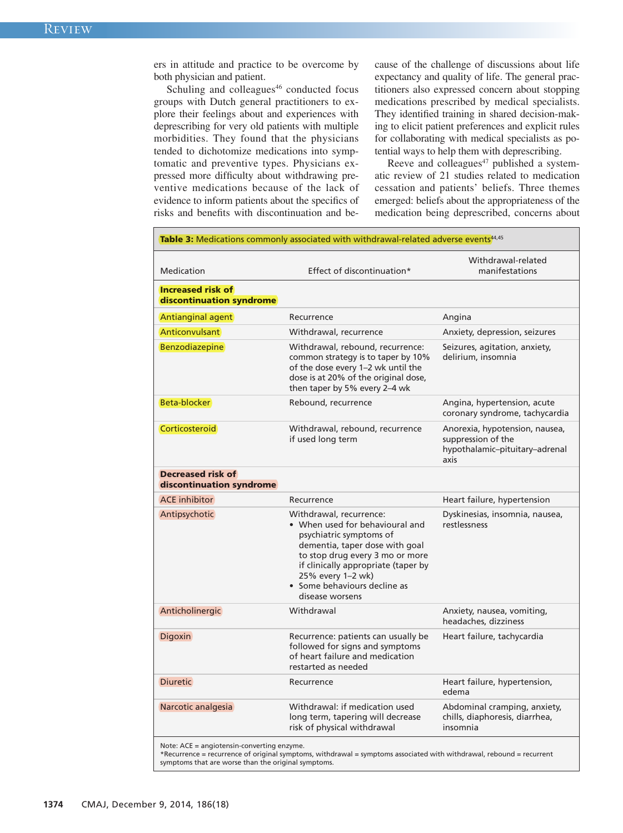ers in attitude and practice to be overcome by both physician and patient.

Schuling and colleagues<sup>46</sup> conducted focus groups with Dutch general practitioners to explore their feelings about and experiences with deprescribing for very old patients with multiple morbidities. They found that the physicians tended to dichotomize medications into symptomatic and preventive types. Physicians expressed more difficulty about withdrawing preventive medications because of the lack of evidence to inform patients about the specifics of risks and benefits with discontinuation and because of the challenge of discussions about life expectancy and quality of life. The general practitioners also expressed concern about stopping medications prescribed by medical specialists. They identified training in shared decision-making to elicit patient preferences and explicit rules for collaborating with medical specialists as potential ways to help them with deprescribing.

Reeve and colleagues $47$  published a systematic review of 21 studies related to medication cessation and patients' beliefs. Three themes emerged: beliefs about the appropriateness of the medication being deprescribed, concerns about

| Table 3: Medications commonly associated with withdrawal-related adverse events <sup>44,45</sup> |                                                                                                                                                                                                                                                                           |                                                                                                |  |  |
|--------------------------------------------------------------------------------------------------|---------------------------------------------------------------------------------------------------------------------------------------------------------------------------------------------------------------------------------------------------------------------------|------------------------------------------------------------------------------------------------|--|--|
| Medication                                                                                       | Effect of discontinuation*                                                                                                                                                                                                                                                | Withdrawal-related<br>manifestations                                                           |  |  |
| <b>Increased risk of</b><br>discontinuation syndrome                                             |                                                                                                                                                                                                                                                                           |                                                                                                |  |  |
| Antianginal agent                                                                                | Recurrence                                                                                                                                                                                                                                                                | Angina                                                                                         |  |  |
| <b>Anticonvulsant</b>                                                                            | Withdrawal, recurrence                                                                                                                                                                                                                                                    | Anxiety, depression, seizures                                                                  |  |  |
| <b>Benzodiazepine</b>                                                                            | Withdrawal, rebound, recurrence:<br>common strategy is to taper by 10%<br>of the dose every 1-2 wk until the<br>dose is at 20% of the original dose,<br>then taper by 5% every 2-4 wk                                                                                     | Seizures, agitation, anxiety,<br>delirium, insomnia                                            |  |  |
| Beta-blocker                                                                                     | Rebound, recurrence                                                                                                                                                                                                                                                       | Angina, hypertension, acute<br>coronary syndrome, tachycardia                                  |  |  |
| Corticosteroid                                                                                   | Withdrawal, rebound, recurrence<br>if used long term                                                                                                                                                                                                                      | Anorexia, hypotension, nausea,<br>suppression of the<br>hypothalamic-pituitary-adrenal<br>axis |  |  |
| <b>Decreased risk of</b><br>discontinuation syndrome                                             |                                                                                                                                                                                                                                                                           |                                                                                                |  |  |
| <b>ACE</b> inhibitor                                                                             | Recurrence                                                                                                                                                                                                                                                                | Heart failure, hypertension                                                                    |  |  |
| Antipsychotic                                                                                    | Withdrawal, recurrence:<br>• When used for behavioural and<br>psychiatric symptoms of<br>dementia, taper dose with goal<br>to stop drug every 3 mo or more<br>if clinically appropriate (taper by<br>25% every 1-2 wk)<br>• Some behaviours decline as<br>disease worsens | Dyskinesias, insomnia, nausea,<br>restlessness                                                 |  |  |
| Anticholinergic                                                                                  | Withdrawal                                                                                                                                                                                                                                                                | Anxiety, nausea, vomiting,<br>headaches, dizziness                                             |  |  |
| <b>Digoxin</b>                                                                                   | Recurrence: patients can usually be<br>followed for signs and symptoms<br>of heart failure and medication<br>restarted as needed                                                                                                                                          | Heart failure, tachycardia                                                                     |  |  |
| <b>Diuretic</b>                                                                                  | Recurrence                                                                                                                                                                                                                                                                | Heart failure, hypertension,<br>edema                                                          |  |  |
| Narcotic analgesia                                                                               | Withdrawal: if medication used<br>long term, tapering will decrease<br>risk of physical withdrawal                                                                                                                                                                        | Abdominal cramping, anxiety,<br>chills, diaphoresis, diarrhea,<br>insomnia                     |  |  |
| Note: ACE = angiotensin-converting enzyme.                                                       |                                                                                                                                                                                                                                                                           |                                                                                                |  |  |

\*Recurrence = recurrence of original symptoms, withdrawal = symptoms associated with withdrawal, rebound = recurrent symptoms that are worse than the original symptoms.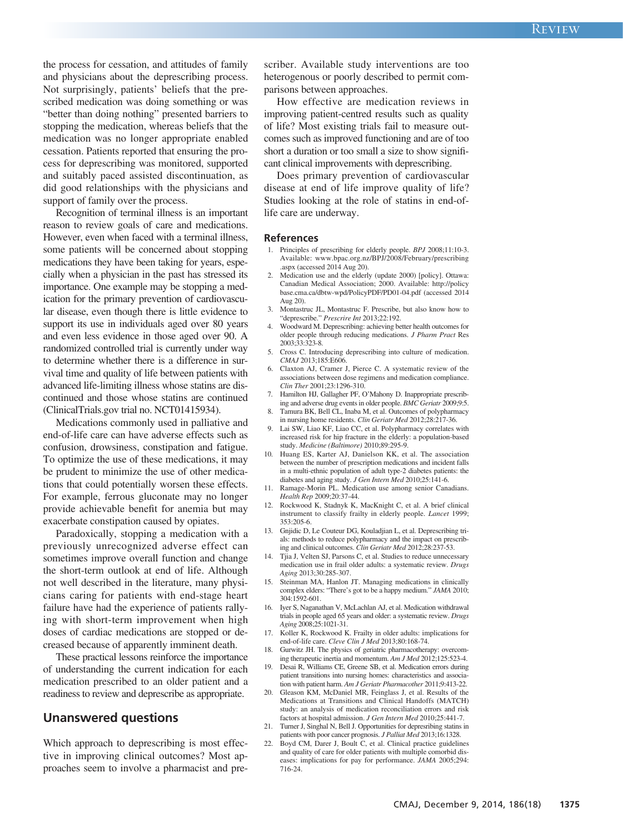the process for cessation, and attitudes of family and physicians about the deprescribing process. Not surprisingly, patients' beliefs that the prescribed medication was doing something or was "better than doing nothing" presented barriers to stopping the medication, whereas beliefs that the medication was no longer appropriate enabled cessation. Patients reported that ensuring the process for deprescribing was monitored, supported and suitably paced assisted discontinuation, as did good relationships with the physicians and support of family over the process.

Recognition of terminal illness is an important reason to review goals of care and medications. However, even when faced with a terminal illness, some patients will be concerned about stopping medications they have been taking for years, especially when a physician in the past has stressed its importance. One example may be stopping a medication for the primary prevention of cardiovascular disease, even though there is little evidence to support its use in individuals aged over 80 years and even less evidence in those aged over 90. A randomized controlled trial is currently under way to determine whether there is a difference in survival time and quality of life between patients with advanced life-limiting illness whose statins are discontinued and those whose statins are continued (ClinicalTrials.gov trial no. NCT01415934).

Medications commonly used in palliative and end-of-life care can have adverse effects such as confusion, drowsiness, constipation and fatigue. To optimize the use of these medications, it may be prudent to minimize the use of other medications that could potentially worsen these effects. For example, ferrous gluconate may no longer provide achievable benefit for anemia but may exacerbate constipation caused by opiates.

Paradoxically, stopping a medication with a previously unrecognized adverse effect can sometimes improve overall function and change the short-term outlook at end of life. Although not well described in the literature, many physicians caring for patients with end-stage heart failure have had the experience of patients rallying with short-term improvement when high doses of cardiac medications are stopped or decreased because of apparently imminent death.

These practical lessons reinforce the importance of understanding the current indication for each medication prescribed to an older patient and a readiness to review and deprescribe as appropriate.

### **Unanswered questions**

Which approach to deprescribing is most effective in improving clinical outcomes? Most approaches seem to involve a pharmacist and prescriber. Available study interventions are too heterogenous or poorly described to permit comparisons between approaches.

How effective are medication reviews in improving patient-centred results such as quality of life? Most existing trials fail to measure outcomes such as improved functioning and are of too short a duration or too small a size to show significant clinical improvements with deprescribing.

Does primary prevention of cardiovascular disease at end of life improve quality of life? Studies looking at the role of statins in end-oflife care are underway.

#### **References**

- 1. Principles of prescribing for elderly people. *BPJ* 2008;11:10-3. Available: www.bpac.org.nz/BPJ/2008/February/prescribing .aspx (accessed 2014 Aug 20).
- 2. Medication use and the elderly (update 2000) [policy]. Ottawa: Canadian Medical Association; 2000. Available: http://policy base.cma.ca/dbtw-wpd/PolicyPDF/PD01-04.pdf (accessed 2014 Aug 20).
- 3. Montastruc JL, Montastruc F. Prescribe, but also know how to "deprescribe." *Prescrire Int* 2013;22:192.
- 4. Woodward M. Deprescribing: achieving better health outcomes for older people through reducing medications. *J Pharm Pract* Res 2003;33:323-8.
- 5. Cross C. Introducing deprescribing into culture of medication. *CMAJ* 2013;185:E606.
- 6. Claxton AJ, Cramer J, Pierce C. A systematic review of the associations between dose regimens and medication compliance. *Clin Ther* 2001;23:1296-310.
- 7. Hamilton HJ, Gallagher PF, O'Mahony D. Inappropriate prescribing and adverse drug events in older people. *BMC Geriatr* 2009;9:5.
- 8. Tamura BK, Bell CL, Inaba M, et al. Outcomes of polypharmacy in nursing home residents. *Clin Geriatr Med* 2012;28:217-36.
- 9. Lai SW, Liao KF, Liao CC, et al. Polypharmacy correlates with increased risk for hip fracture in the elderly: a population-based study. *Medicine (Baltimore)* 2010;89:295-9.
- 10. Huang ES, Karter AJ, Danielson KK, et al. The association between the number of prescription medications and incident falls in a multi-ethnic population of adult type-2 diabetes patients: the diabetes and aging study. *J Gen Intern Med* 2010;25:141-6.
- Ramage-Morin PL. Medication use among senior Canadians. *Health Rep* 2009;20:37-44.
- 12. Rockwood K, Stadnyk K, MacKnight C, et al. A brief clinical instrument to classify frailty in elderly people. *Lancet* 1999; 353:205-6.
- 13. Gnjidic D, Le Couteur DG, Kouladjian L, et al. Deprescribing trials: methods to reduce polypharmacy and the impact on prescribing and clinical outcomes. *Clin Geriatr Med* 2012;28:237-53.
- 14. Tjia J, Velten SJ, Parsons C, et al. Studies to reduce unnecessary medication use in frail older adults: a systematic review. *Drugs Aging* 2013;30:285-307.
- 15. Steinman MA, Hanlon JT. Managing medications in clinically complex elders: "There's got to be a happy medium." *JAMA* 2010; 304:1592-601.
- 16. Iyer S, Naganathan V, McLachlan AJ, et al. Medication withdrawal trials in people aged 65 years and older: a systematic review. *Drugs Aging* 2008;25:1021-31.
- 17. Koller K, Rockwood K. Frailty in older adults: implications for end-of-life care. *Cleve Clin J Med* 2013;80:168-74.
- 18. Gurwitz JH. The physics of geriatric pharmacotherapy: overcoming therapeutic inertia and momentum. *Am J Med* 2012;125:523-4. 19. Desai R, Williams CE, Greene SB, et al. Medication errors during
- patient transitions into nursing homes: characteristics and association with patient harm. *Am J Geriatr Pharmacother* 2011;9:413-22.
- 20. Gleason KM, McDaniel MR, Feinglass J, et al. Results of the Medications at Transitions and Clinical Handoffs (MATCH) study: an analysis of medication reconciliation errors and risk factors at hospital admission. *J Gen Intern Med* 2010;25:441-7.
- 21. Turner J, Singhal N, Bell J. Opportunities for depresribing statins in patients with poor cancer prognosis. *J Palliat Med* 2013;16:1328.
- 22. Boyd CM, Darer J, Boult C, et al. Clinical practice guidelines and quality of care for older patients with multiple comorbid diseases: implications for pay for performance. *JAMA* 2005;294: 716-24.